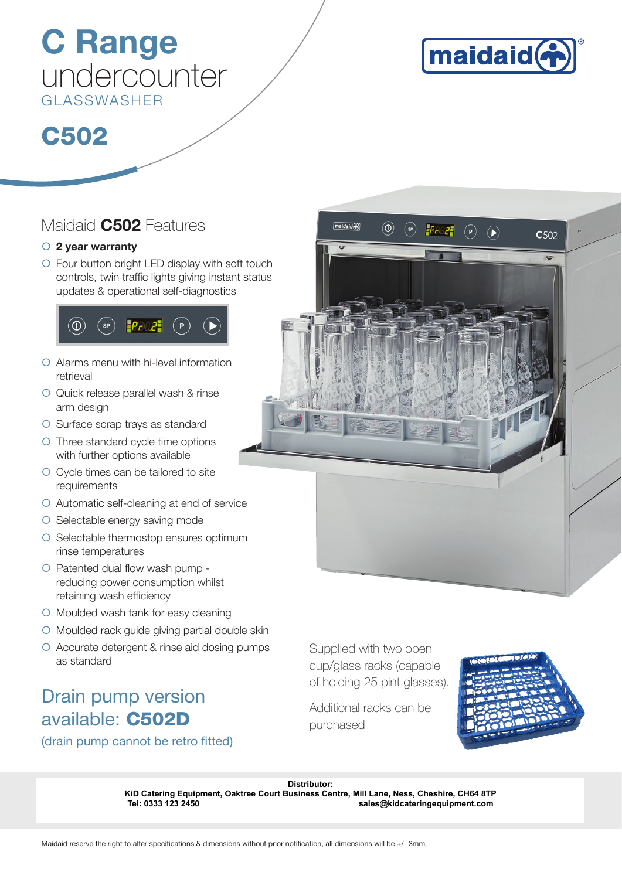## C Range undercounter GLASSWASHER



## C502

### Maidaid **C502** Features

### $\circ$  2 year warranty

 $\circ$  Four button bright LED display with soft touch controls, twin traffic lights giving instant status updates & operational self-diagnostics



- $\circ$  Alarms menu with hi-level information retrieval
- { Quick release parallel wash & rinse arm design
- { Surface scrap trays as standard
- { Three standard cycle time options with further options available
- { Cycle times can be tailored to site requirements
- $\circ$  Automatic self-cleaning at end of service
- $\circ$  Selectable energy saving mode
- ${\circ}$  Selectable thermostop ensures optimum rinse temperatures
- $\circ$  Patented dual flow wash pump reducing power consumption whilst retaining wash efficiency
- { Moulded wash tank for easy cleaning
- $\circ$  Moulded rack guide giving partial double skin
- { Accurate detergent & rinse aid dosing pumps as standard

## Drain pump version available: C502D

(drain pump cannot be retro fitted)



Supplied with two open cup/glass racks (capable of holding 25 pint glasses).

Additional racks can be purchased



Distributor:<br> **KiD Catering Equipment, Oaktree Court Business Centre, Mill Lane, Ness, Ch<br>
Tel: 0333 123 2450<br>
Maidaid reserve the right to alter specifications & dimensions without prior notification, all dimensions will KiD Catering Equipment, Oaktree Court Business Centre, Mill Lane, Ness, Cheshire, CH64 8TP Tel: 0333 123 2450 sales@kidcateringequipment.com**